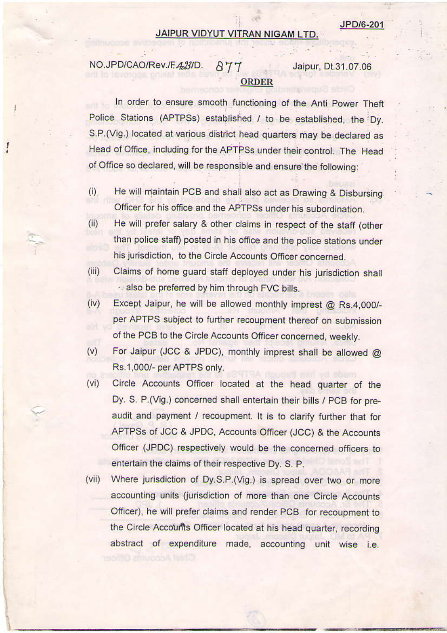## JAIPUR VIDYUT VITRAN NIGAM LTD.

## NO.JPD/CAO/Rev./F.423/D. 877 **ORDER**

Jaipur, Dt.31.07.06

## In order to ensure smooth functioning of the Anti Power Theft Police Stations (APTPSs) established / to be established, the Dy. S.P. (Vig.) located at various district head quarters may be declared as Head of Office, including for the APTPSs under their control. The Head of Office so declared, will be responsible and ensure the following:

- He will maintain PCB and shall also act as Drawing & Disbursing  $(i)$ Officer for his office and the APTPSs under his subordination.
- He will prefer salary & other claims in respect of the staff (other  $(ii)$ than police staff) posted in his office and the police stations under his jurisdiction, to the Circle Accounts Officer concerned.
- $(iii)$ Claims of home guard staff deployed under his jurisdiction shall also be preferred by him through FVC bills.
- Except Jaipur, he will be allowed monthly imprest @ Rs.4,000/- $(iv)$ per APTPS subject to further recoupment thereof on submission of the PCB to the Circle Accounts Officer concerned, weekly.
- For Jaipur (JCC & JPDC), monthly imprest shall be allowed @  $(v)$ Rs.1,000/- per APTPS only.
- Circle Accounts Officer located at the head quarter of the  $(vi)$ Dy. S. P.(Vig.) concerned shall entertain their bills / PCB for preaudit and payment / recoupment. It is to clarify further that for APTPSs of JCC & JPDC, Accounts Officer (JCC) & the Accounts Officer (JPDC) respectively would be the concerned officers to entertain the claims of their respective Dy. S. P.
- Where jurisdiction of Dy.S.P.(Vig.) is spread over two or more  $(vii)$ accounting units (jurisdiction of more than one Circle Accounts Officer), he will prefer claims and render PCB for recoupment to the Circle Accounts Officer located at his head quarter, recording abstract of expenditure made, accounting unit wise i.e.